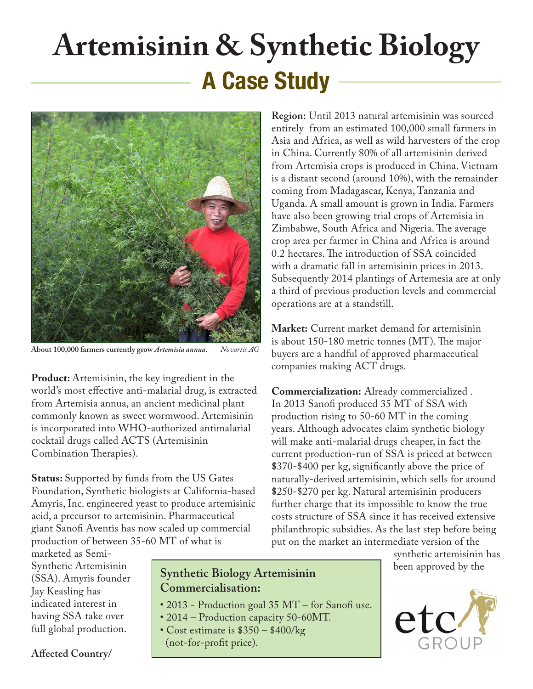# **Artemisinin & Synthetic Biology A Case Study**



**About 100,000 farmers currently grow** *Artemisia annua***.** *Novartis AG*

**Product:** Artemisinin, the key ingredient in the world's most effective anti-malarial drug, is extracted from Artemisia annua, an ancient medicinal plant commonly known as sweet wormwood. Artemisinin is incorporated into WHO-authorized antimalarial cocktail drugs called ACTS (Artemisinin Combination Therapies).

**Status:** Supported by funds from the US Gates Foundation, Synthetic biologists at California-based Amyris, Inc. engineered yeast to produce artemisinic acid, a precursor to artemisinin. Pharmaceutical giant Sanofi Aventis has now scaled up commercial production of between 35-60 MT of what is

**Region:** Until 2013 natural artemisinin was sourced entirely from an estimated 100,000 small farmers in Asia and Africa, as well as wild harvesters of the crop in China. Currently 80% of all artemisinin derived from Artemisia crops is produced in China. Vietnam is a distant second (around 10%), with the remainder coming from Madagascar, Kenya, Tanzania and Uganda. A small amount is grown in India. Farmers have also been growing trial crops of Artemisia in Zimbabwe, South Africa and Nigeria. The average crop area per farmer in China and Africa is around 0.2 hectares. The introduction of SSA coincided with a dramatic fall in artemisinin prices in 2013. Subsequently 2014 plantings of Artemesia are at only a third of previous production levels and commercial operations are at a standstill.

**Market:** Current market demand for artemisinin is about 150-180 metric tonnes (MT). The major buyers are a handful of approved pharmaceutical companies making ACT drugs.

**Commercialization:** Already commercialized . In 2013 Sanofi produced 35 MT of SSA with production rising to 50-60 MT in the coming years. Although advocates claim synthetic biology will make anti-malarial drugs cheaper, in fact the current production-run of SSA is priced at between \$370-\$400 per kg, significantly above the price of naturally-derived artemisinin, which sells for around \$250-\$270 per kg. Natural artemisinin producers further charge that its impossible to know the true costs structure of SSA since it has received extensive philanthropic subsidies. As the last step before being put on the market an intermediate version of the

marketed as Semi-Synthetic Artemisinin (SSA). Amyris founder Jay Keasling has indicated interest in having SSA take over full global production.

**Synthetic Biology Artemisinin Commercialisation:**

- 2013 Production goal 35 MT for Sanofi use.
- 2014 Production capacity 50-60MT.
- Cost estimate is \$350 \$400/kg (not-for-profit price).

synthetic artemisinin has been approved by the



**Affected Country/**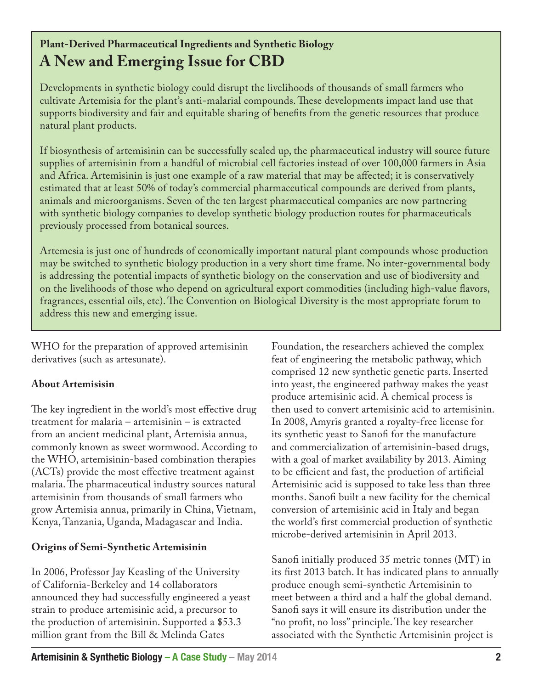# **Plant-Derived Pharmaceutical Ingredients and Synthetic Biology A New and Emerging Issue for CBD**

Developments in synthetic biology could disrupt the livelihoods of thousands of small farmers who cultivate Artemisia for the plant's anti-malarial compounds. These developments impact land use that supports biodiversity and fair and equitable sharing of benefits from the genetic resources that produce natural plant products.

If biosynthesis of artemisinin can be successfully scaled up, the pharmaceutical industry will source future supplies of artemisinin from a handful of microbial cell factories instead of over 100,000 farmers in Asia and Africa. Artemisinin is just one example of a raw material that may be affected; it is conservatively estimated that at least 50% of today's commercial pharmaceutical compounds are derived from plants, animals and microorganisms. Seven of the ten largest pharmaceutical companies are now partnering with synthetic biology companies to develop synthetic biology production routes for pharmaceuticals previously processed from botanical sources.

Artemesia is just one of hundreds of economically important natural plant compounds whose production may be switched to synthetic biology production in a very short time frame. No inter-governmental body is addressing the potential impacts of synthetic biology on the conservation and use of biodiversity and on the livelihoods of those who depend on agricultural export commodities (including high-value flavors, fragrances, essential oils, etc). The Convention on Biological Diversity is the most appropriate forum to address this new and emerging issue.

WHO for the preparation of approved artemisinin derivatives (such as artesunate).

## **About Artemisisin**

The key ingredient in the world's most effective drug treatment for malaria – artemisinin – is extracted from an ancient medicinal plant, Artemisia annua, commonly known as sweet wormwood. According to the WHO, artemisinin-based combination therapies (ACTs) provide the most effective treatment against malaria. The pharmaceutical industry sources natural artemisinin from thousands of small farmers who grow Artemisia annua, primarily in China, Vietnam, Kenya, Tanzania, Uganda, Madagascar and India.

## **Origins of Semi-Synthetic Artemisinin**

In 2006, Professor Jay Keasling of the University of California-Berkeley and 14 collaborators announced they had successfully engineered a yeast strain to produce artemisinic acid, a precursor to the production of artemisinin. Supported a \$53.3 million grant from the Bill & Melinda Gates

Foundation, the researchers achieved the complex feat of engineering the metabolic pathway, which comprised 12 new synthetic genetic parts. Inserted into yeast, the engineered pathway makes the yeast produce artemisinic acid. A chemical process is then used to convert artemisinic acid to artemisinin. In 2008, Amyris granted a royalty-free license for its synthetic yeast to Sanofi for the manufacture and commercialization of artemisinin-based drugs, with a goal of market availability by 2013. Aiming to be efficient and fast, the production of artificial Artemisinic acid is supposed to take less than three months. Sanofi built a new facility for the chemical conversion of artemisinic acid in Italy and began the world's first commercial production of synthetic microbe-derived artemisinin in April 2013.

Sanofi initially produced 35 metric tonnes (MT) in its first 2013 batch. It has indicated plans to annually produce enough semi-synthetic Artemisinin to meet between a third and a half the global demand. Sanofi says it will ensure its distribution under the "no profit, no loss" principle. The key researcher associated with the Synthetic Artemisinin project is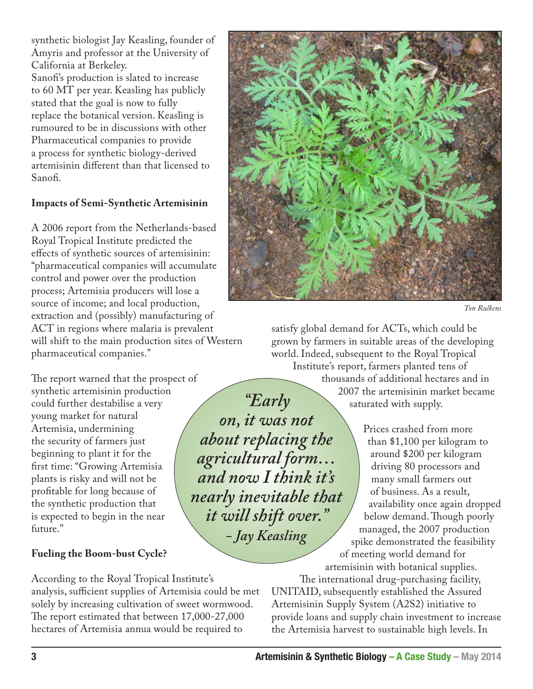synthetic biologist Jay Keasling, founder of Amyris and professor at the University of California at Berkeley. Sanofi's production is slated to increase to 60 MT per year. Keasling has publicly stated that the goal is now to fully replace the botanical version. Keasling is rumoured to be in discussions with other Pharmaceutical companies to provide a process for synthetic biology-derived artemisinin different than that licensed to Sanofi.

#### **Impacts of Semi-Synthetic Artemisinin**

A 2006 report from the Netherlands-based Royal Tropical Institute predicted the effects of synthetic sources of artemisinin: "pharmaceutical companies will accumulate control and power over the production process; Artemisia producers will lose a source of income; and local production, extraction and (possibly) manufacturing of ACT in regions where malaria is prevalent will shift to the main production sites of Western pharmaceutical companies."

The report warned that the prospect of synthetic artemisinin production could further destabilise a very young market for natural Artemisia, undermining the security of farmers just beginning to plant it for the first time: "Growing Artemisia plants is risky and will not be profitable for long because of the synthetic production that is expected to begin in the near future."

#### **Fueling the Boom-bust Cycle?**

According to the Royal Tropical Institute's analysis, sufficient supplies of Artemisia could be met solely by increasing cultivation of sweet wormwood. The report estimated that between 17,000-27,000 hectares of Artemisia annua would be required to



*Ton Rulkens*

satisfy global demand for ACTs, which could be grown by farmers in suitable areas of the developing world. Indeed, subsequent to the Royal Tropical Institute's report, farmers planted tens of

thousands of additional hectares and in 2007 the artemisinin market became saturated with supply.

Prices crashed from more than \$1,100 per kilogram to around \$200 per kilogram driving 80 processors and many small farmers out of business. As a result, availability once again dropped below demand. Though poorly managed, the 2007 production spike demonstrated the feasibility of meeting world demand for artemisinin with botanical supplies.

The international drug-purchasing facility, UNITAID, subsequently established the Assured Artemisinin Supply System (A2S2) initiative to provide loans and supply chain investment to increase the Artemisia harvest to sustainable high levels. In

*"Early on, it was not about replacing the agricultural form… and now I think it's nearly inevitable that it will shift over." - Jay Keasling*